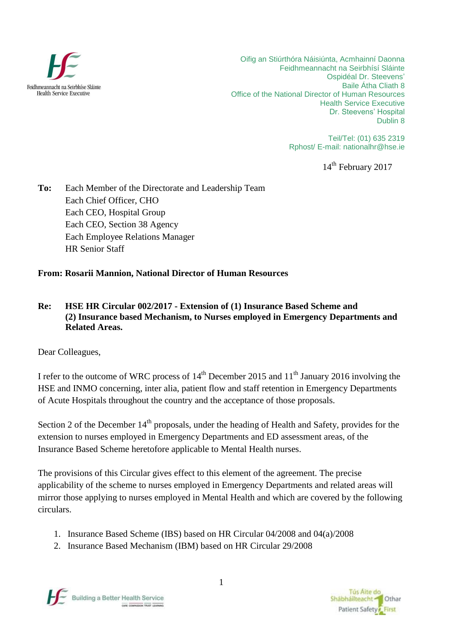

Oifig an Stiúrthóra Náisiúnta, Acmhainní Daonna Feidhmeannacht na Seirbhísí Sláinte Ospidéal Dr. Steevens' Baile Átha Cliath 8 Office of the National Director of Human Resources Health Service Executive Dr. Steevens' Hospital Dublin 8

> Teil/Tel: (01) 635 2319 Rphost/ E-mail: [nationalhr@hse.ie](mailto:nationalhr@hse.ie)

> > 14<sup>th</sup> February 2017

**To:** Each Member of the Directorate and Leadership Team Each Chief Officer, CHO Each CEO, Hospital Group Each CEO, Section 38 Agency Each Employee Relations Manager HR Senior Staff

**From: Rosarii Mannion, National Director of Human Resources**

#### **Re: HSE HR Circular 002/2017 - Extension of (1) Insurance Based Scheme and (2) Insurance based Mechanism, to Nurses employed in Emergency Departments and Related Areas.**

Dear Colleagues,

I refer to the outcome of WRC process of  $14<sup>th</sup>$  December 2015 and  $11<sup>th</sup>$  January 2016 involving the HSE and INMO concerning, inter alia, patient flow and staff retention in Emergency Departments of Acute Hospitals throughout the country and the acceptance of those proposals.

Section 2 of the December 14<sup>th</sup> proposals, under the heading of Health and Safety, provides for the extension to nurses employed in Emergency Departments and ED assessment areas, of the Insurance Based Scheme heretofore applicable to Mental Health nurses.

The provisions of this Circular gives effect to this element of the agreement. The precise applicability of the scheme to nurses employed in Emergency Departments and related areas will mirror those applying to nurses employed in Mental Health and which are covered by the following circulars.

- 1. Insurance Based Scheme (IBS) based on HR Circular 04/2008 and 04(a)/2008
- 2. Insurance Based Mechanism (IBM) based on HR Circular 29/2008



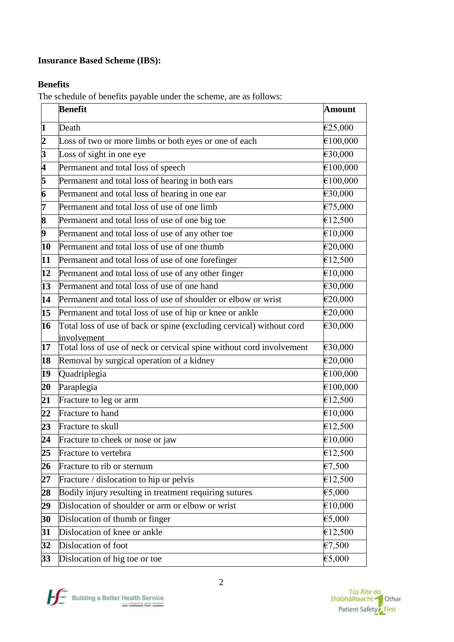# **Insurance Based Scheme (IBS):**

### **Benefits**

The schedule of benefits payable under the scheme, are as follows:

|                         | <b>Benefit</b>                                                       | <b>Amount</b>                |
|-------------------------|----------------------------------------------------------------------|------------------------------|
| 1                       | Death                                                                | €25,000                      |
| $\overline{2}$          | Loss of two or more limbs or both eyes or one of each                | €100,000                     |
| 3                       | Loss of sight in one eye                                             | €30,000                      |
| $\overline{\mathbf{4}}$ | Permanent and total loss of speech                                   | €100,000                     |
| 5                       | Permanent and total loss of hearing in both ears                     | €100,000                     |
| 6                       | Permanent and total loss of hearing in one ear                       | €30,000                      |
| 7                       | Permanent and total loss of use of one limb                          | €75,000                      |
| 8                       | Permanent and total loss of use of one big toe                       | €12,500                      |
| 9                       | Permanent and total loss of use of any other toe                     | €10,000                      |
| 10                      | Permanent and total loss of use of one thumb                         | €20,000                      |
| 11                      | Permanent and total loss of use of one forefinger                    | €12,500                      |
| 12                      | Permanent and total loss of use of any other finger                  | €10,000                      |
| 13                      | Permanent and total loss of use of one hand                          | €30,000                      |
| 14                      | Permanent and total loss of use of shoulder or elbow or wrist        | €20,000                      |
| 15                      | Permanent and total loss of use of hip or knee or ankle              | €20,000                      |
| 16                      | Total loss of use of back or spine (excluding cervical) without cord | €30,000                      |
|                         | involvement                                                          |                              |
| 17                      | Total loss of use of neck or cervical spine without cord involvement | €30,000                      |
| 18                      | Removal by surgical operation of a kidney                            | €20,000                      |
| 19                      | Quadriplegia                                                         | $\widehat{\epsilon 100,000}$ |
| 20                      | Paraplegia                                                           | €100,000<br>£12,500          |
| 21                      | Fracture to leg or arm                                               |                              |
| 22                      | Fracture to hand                                                     | €10,000                      |
| 23                      | Fracture to skull                                                    | €12,500<br>€10,000           |
| 24                      | Fracture to cheek or nose or jaw                                     |                              |
| 25                      | Fracture to vertebra                                                 | €12,500                      |
| 26                      | Fracture to rib or sternum                                           | £7,500                       |
| 27                      | Fracture / dislocation to hip or pelvis                              | €12,500                      |
| 28                      | Bodily injury resulting in treatment requiring sutures               | €5,000                       |
| 29                      | Dislocation of shoulder or arm or elbow or wrist                     | €10,000                      |
| 30                      | Dislocation of thumb or finger                                       | €5,000                       |
| 31                      | Dislocation of knee or ankle                                         | €12,500                      |
| 32                      | Dislocation of foot                                                  | €7,500                       |
| 33                      | Dislocation of big toe or toe                                        | €5,000                       |



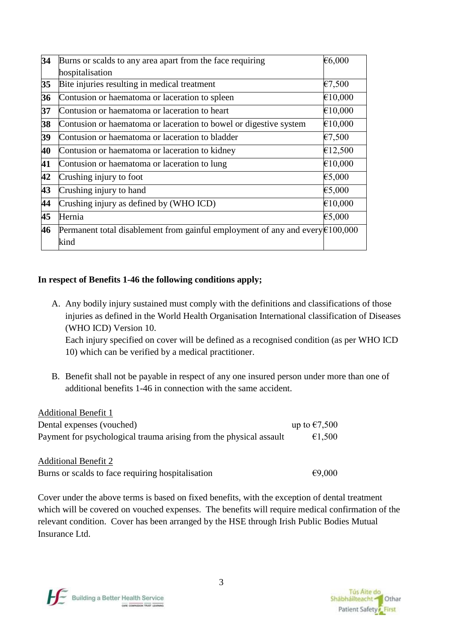| 34 | Burns or scalds to any area apart from the face requiring                               | €6,000  |
|----|-----------------------------------------------------------------------------------------|---------|
|    | hospitalisation                                                                         |         |
| 35 | Bite injuries resulting in medical treatment                                            | £7,500  |
| 36 | Contusion or haematoma or laceration to spleen                                          | €10,000 |
| 37 | Contusion or haematoma or laceration to heart                                           | €10,000 |
| 38 | Contusion or haematoma or laceration to bowel or digestive system                       | €10,000 |
| 39 | Contusion or haematoma or laceration to bladder                                         | €7,500  |
| 40 | Contusion or haematoma or laceration to kidney                                          | €12,500 |
| 41 | Contusion or haematoma or laceration to lung                                            | €10,000 |
| 42 | Crushing injury to foot                                                                 | €5,000  |
| 43 | Crushing injury to hand                                                                 | €5,000  |
| 44 | Crushing injury as defined by (WHO ICD)                                                 | €10,000 |
| 45 | Hernia                                                                                  | €5,000  |
| 46 | Permanent total disablement from gainful employment of any and every $\epsilon$ 100,000 |         |
|    | kind                                                                                    |         |
|    |                                                                                         |         |

### **In respect of Benefits 1-46 the following conditions apply;**

A. Any bodily injury sustained must comply with the definitions and classifications of those injuries as defined in the World Health Organisation International classification of Diseases (WHO ICD) Version 10.

Each injury specified on cover will be defined as a recognised condition (as per WHO ICD 10) which can be verified by a medical practitioner.

B. Benefit shall not be payable in respect of any one insured person under more than one of additional benefits 1-46 in connection with the same accident.

| <b>Additional Benefit 1</b>                                        |                        |
|--------------------------------------------------------------------|------------------------|
| Dental expenses (vouched)                                          | up to $\epsilon$ 7,500 |
| Payment for psychological trauma arising from the physical assault | €1.500                 |
|                                                                    |                        |
| <b>Additional Benefit 2</b>                                        |                        |

Burns or scalds to face requiring hospitalisation  $\epsilon$ 9,000

Cover under the above terms is based on fixed benefits, with the exception of dental treatment which will be covered on vouched expenses. The benefits will require medical confirmation of the relevant condition. Cover has been arranged by the HSE through Irish Public Bodies Mutual Insurance Ltd.

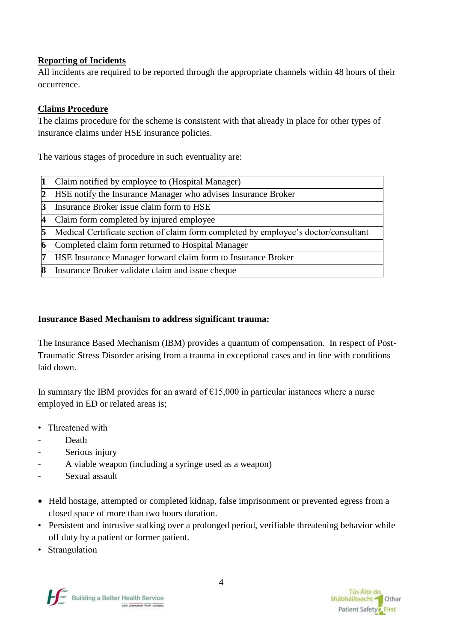### **Reporting of Incidents**

All incidents are required to be reported through the appropriate channels within 48 hours of their occurrence.

# **Claims Procedure**

The claims procedure for the scheme is consistent with that already in place for other types of insurance claims under HSE insurance policies.

The various stages of procedure in such eventuality are:

| 11 | Claim notified by employee to (Hospital Manager)                                    |
|----|-------------------------------------------------------------------------------------|
|    | HSE notify the Insurance Manager who advises Insurance Broker                       |
| 13 | Insurance Broker issue claim form to HSE                                            |
|    | Claim form completed by injured employee                                            |
| 5  | Medical Certificate section of claim form completed by employee's doctor/consultant |
|    | Completed claim form returned to Hospital Manager                                   |
|    | HSE Insurance Manager forward claim form to Insurance Broker                        |
|    | Insurance Broker validate claim and issue cheque                                    |

# **Insurance Based Mechanism to address significant trauma:**

The Insurance Based Mechanism (IBM) provides a quantum of compensation. In respect of Post-Traumatic Stress Disorder arising from a trauma in exceptional cases and in line with conditions laid down.

In summary the IBM provides for an award of  $E15,000$  in particular instances where a nurse employed in ED or related areas is;

- Threatened with
- Death
- Serious injury
- A viable weapon (including a syringe used as a weapon)
- Sexual assault
- Held hostage, attempted or completed kidnap, false imprisonment or prevented egress from a closed space of more than two hours duration.
- Persistent and intrusive stalking over a prolonged period, verifiable threatening behavior while off duty by a patient or former patient.
- Strangulation

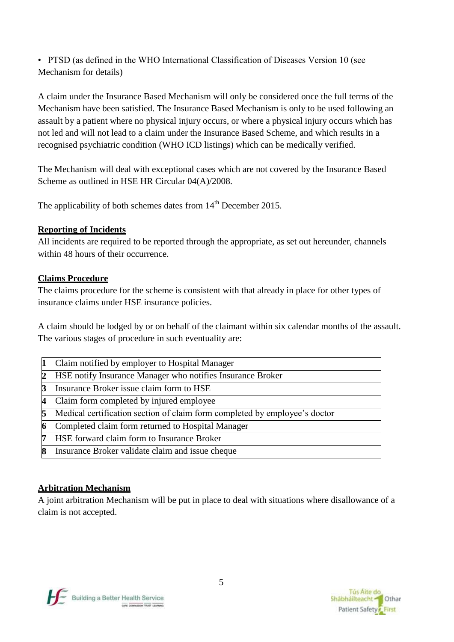• PTSD (as defined in the WHO International Classification of Diseases Version 10 (see Mechanism for details)

A claim under the Insurance Based Mechanism will only be considered once the full terms of the Mechanism have been satisfied. The Insurance Based Mechanism is only to be used following an assault by a patient where no physical injury occurs, or where a physical injury occurs which has not led and will not lead to a claim under the Insurance Based Scheme, and which results in a recognised psychiatric condition (WHO ICD listings) which can be medically verified.

The Mechanism will deal with exceptional cases which are not covered by the Insurance Based Scheme as outlined in HSE HR Circular 04(A)/2008.

The applicability of both schemes dates from  $14<sup>th</sup>$  December 2015.

# **Reporting of Incidents**

All incidents are required to be reported through the appropriate, as set out hereunder, channels within 48 hours of their occurrence.

# **Claims Procedure**

The claims procedure for the scheme is consistent with that already in place for other types of insurance claims under HSE insurance policies.

A claim should be lodged by or on behalf of the claimant within six calendar months of the assault. The various stages of procedure in such eventuality are:

|    | Claim notified by employer to Hospital Manager                             |
|----|----------------------------------------------------------------------------|
| 12 | HSE notify Insurance Manager who notifies Insurance Broker                 |
|    | Insurance Broker issue claim form to HSE                                   |
| Δ  | Claim form completed by injured employee                                   |
|    | Medical certification section of claim form completed by employee's doctor |
|    | Completed claim form returned to Hospital Manager                          |
|    | HSE forward claim form to Insurance Broker                                 |
|    | Insurance Broker validate claim and issue cheque                           |
|    |                                                                            |

# **Arbitration Mechanism**

A joint arbitration Mechanism will be put in place to deal with situations where disallowance of a claim is not accepted.